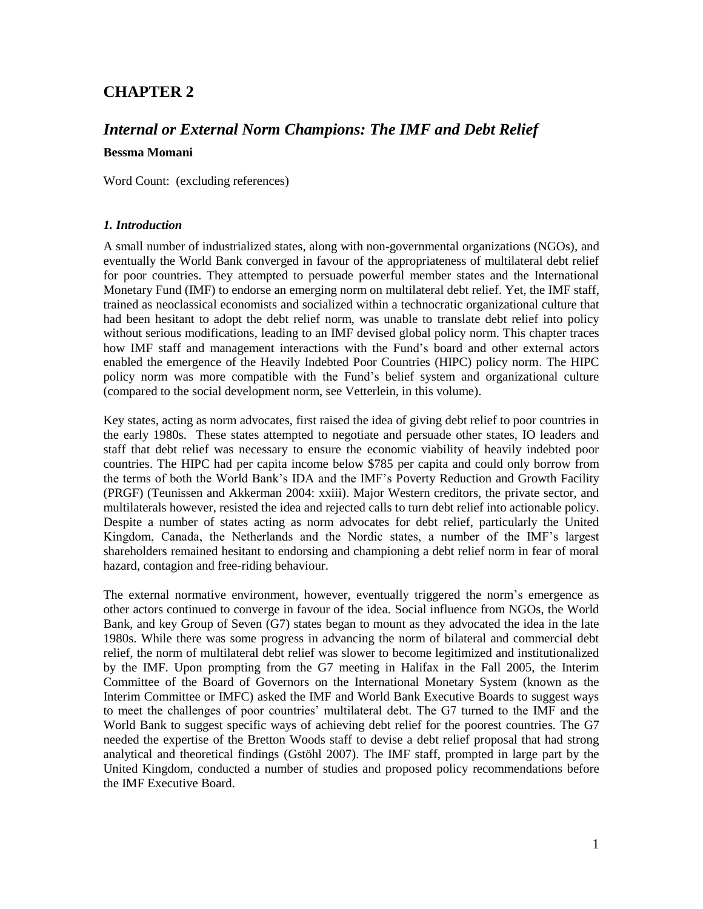## **CHAPTER 2**

# *Internal or External Norm Champions: The IMF and Debt Relief* **Bessma Momani**

Word Count: (excluding references)

#### *1. Introduction*

A small number of industrialized states, along with non-governmental organizations (NGOs), and eventually the World Bank converged in favour of the appropriateness of multilateral debt relief for poor countries. They attempted to persuade powerful member states and the International Monetary Fund (IMF) to endorse an emerging norm on multilateral debt relief. Yet, the IMF staff, trained as neoclassical economists and socialized within a technocratic organizational culture that had been hesitant to adopt the debt relief norm, was unable to translate debt relief into policy without serious modifications, leading to an IMF devised global policy norm. This chapter traces how IMF staff and management interactions with the Fund's board and other external actors enabled the emergence of the Heavily Indebted Poor Countries (HIPC) policy norm. The HIPC policy norm was more compatible with the Fund's belief system and organizational culture (compared to the social development norm, see Vetterlein, in this volume).

Key states, acting as norm advocates, first raised the idea of giving debt relief to poor countries in the early 1980s. These states attempted to negotiate and persuade other states, IO leaders and staff that debt relief was necessary to ensure the economic viability of heavily indebted poor countries. The HIPC had per capita income below \$785 per capita and could only borrow from the terms of both the World Bank's IDA and the IMF's Poverty Reduction and Growth Facility (PRGF) (Teunissen and Akkerman 2004: xxiii). Major Western creditors, the private sector, and multilaterals however, resisted the idea and rejected calls to turn debt relief into actionable policy. Despite a number of states acting as norm advocates for debt relief, particularly the United Kingdom, Canada, the Netherlands and the Nordic states, a number of the IMF's largest shareholders remained hesitant to endorsing and championing a debt relief norm in fear of moral hazard, contagion and free-riding behaviour.

The external normative environment, however, eventually triggered the norm's emergence as other actors continued to converge in favour of the idea. Social influence from NGOs, the World Bank, and key Group of Seven (G7) states began to mount as they advocated the idea in the late 1980s. While there was some progress in advancing the norm of bilateral and commercial debt relief, the norm of multilateral debt relief was slower to become legitimized and institutionalized by the IMF. Upon prompting from the G7 meeting in Halifax in the Fall 2005, the Interim Committee of the Board of Governors on the International Monetary System (known as the Interim Committee or IMFC) asked the IMF and World Bank Executive Boards to suggest ways to meet the challenges of poor countries' multilateral debt. The G7 turned to the IMF and the World Bank to suggest specific ways of achieving debt relief for the poorest countries. The G7 needed the expertise of the Bretton Woods staff to devise a debt relief proposal that had strong analytical and theoretical findings (Gstöhl 2007). The IMF staff, prompted in large part by the United Kingdom, conducted a number of studies and proposed policy recommendations before the IMF Executive Board.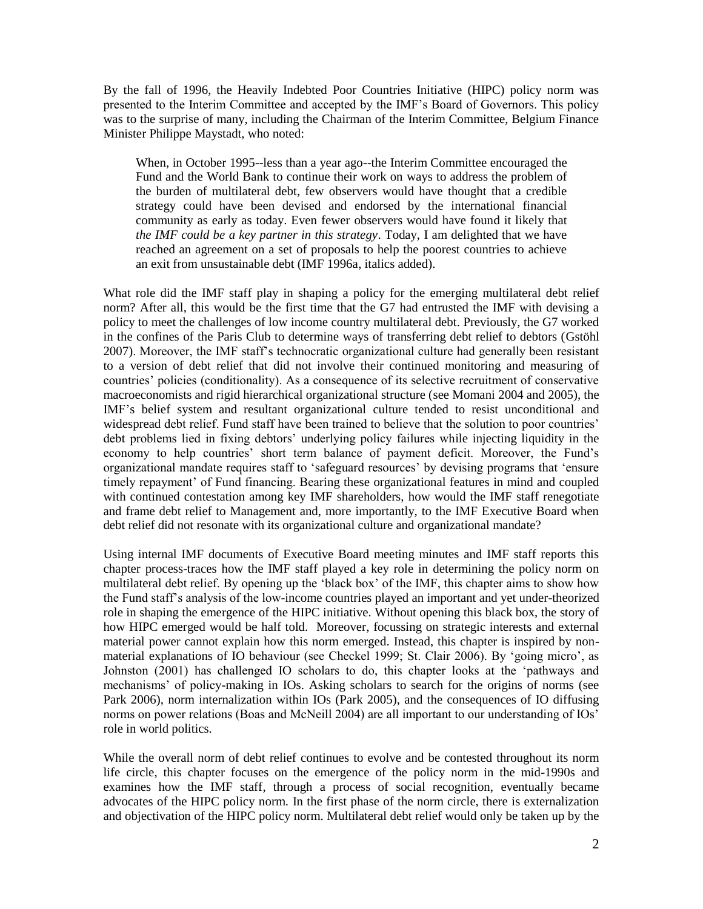By the fall of 1996, the Heavily Indebted Poor Countries Initiative (HIPC) policy norm was presented to the Interim Committee and accepted by the IMF's Board of Governors. This policy was to the surprise of many, including the Chairman of the Interim Committee, Belgium Finance Minister Philippe Maystadt, who noted:

When, in October 1995--less than a year ago--the Interim Committee encouraged the Fund and the World Bank to continue their work on ways to address the problem of the burden of multilateral debt, few observers would have thought that a credible strategy could have been devised and endorsed by the international financial community as early as today. Even fewer observers would have found it likely that *the IMF could be a key partner in this strategy*. Today, I am delighted that we have reached an agreement on a set of proposals to help the poorest countries to achieve an exit from unsustainable debt (IMF 1996a, italics added).

What role did the IMF staff play in shaping a policy for the emerging multilateral debt relief norm? After all, this would be the first time that the G7 had entrusted the IMF with devising a policy to meet the challenges of low income country multilateral debt. Previously, the G7 worked in the confines of the Paris Club to determine ways of transferring debt relief to debtors (Gstöhl 2007). Moreover, the IMF staff's technocratic organizational culture had generally been resistant to a version of debt relief that did not involve their continued monitoring and measuring of countries' policies (conditionality). As a consequence of its selective recruitment of conservative macroeconomists and rigid hierarchical organizational structure (see Momani 2004 and 2005), the IMF's belief system and resultant organizational culture tended to resist unconditional and widespread debt relief. Fund staff have been trained to believe that the solution to poor countries' debt problems lied in fixing debtors' underlying policy failures while injecting liquidity in the economy to help countries' short term balance of payment deficit. Moreover, the Fund's organizational mandate requires staff to 'safeguard resources' by devising programs that 'ensure timely repayment' of Fund financing. Bearing these organizational features in mind and coupled with continued contestation among key IMF shareholders, how would the IMF staff renegotiate and frame debt relief to Management and, more importantly, to the IMF Executive Board when debt relief did not resonate with its organizational culture and organizational mandate?

Using internal IMF documents of Executive Board meeting minutes and IMF staff reports this chapter process-traces how the IMF staff played a key role in determining the policy norm on multilateral debt relief. By opening up the 'black box' of the IMF, this chapter aims to show how the Fund staff's analysis of the low-income countries played an important and yet under-theorized role in shaping the emergence of the HIPC initiative. Without opening this black box, the story of how HIPC emerged would be half told. Moreover, focussing on strategic interests and external material power cannot explain how this norm emerged. Instead, this chapter is inspired by nonmaterial explanations of IO behaviour (see Checkel 1999; St. Clair 2006). By 'going micro', as Johnston (2001) has challenged IO scholars to do, this chapter looks at the 'pathways and mechanisms' of policy-making in IOs. Asking scholars to search for the origins of norms (see Park 2006), norm internalization within IOs (Park 2005), and the consequences of IO diffusing norms on power relations (Boas and McNeill 2004) are all important to our understanding of IOs' role in world politics.

While the overall norm of debt relief continues to evolve and be contested throughout its norm life circle, this chapter focuses on the emergence of the policy norm in the mid-1990s and examines how the IMF staff, through a process of social recognition, eventually became advocates of the HIPC policy norm. In the first phase of the norm circle, there is externalization and objectivation of the HIPC policy norm. Multilateral debt relief would only be taken up by the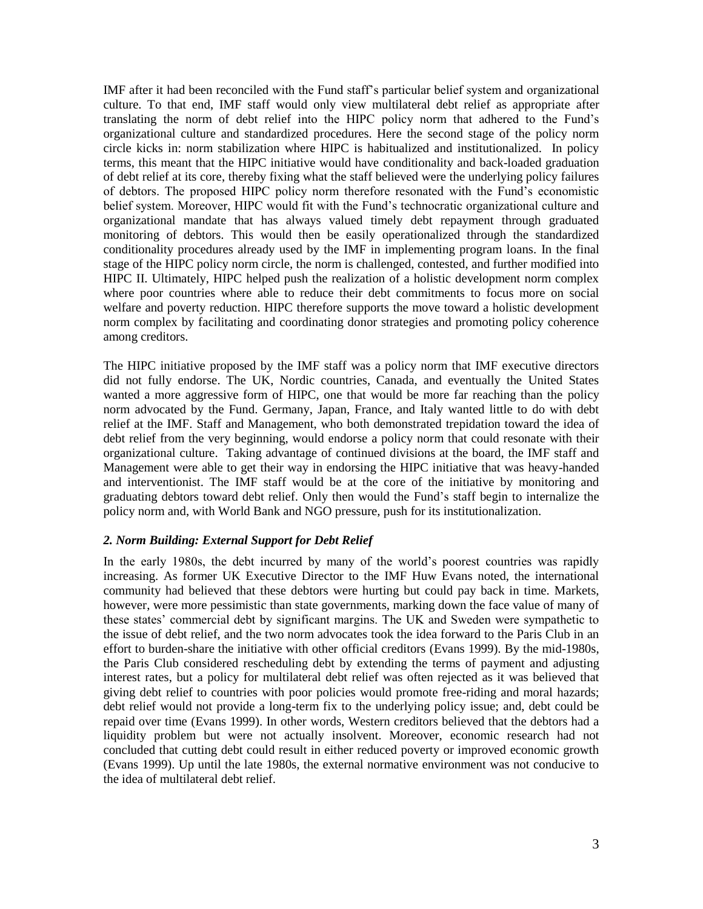IMF after it had been reconciled with the Fund staff's particular belief system and organizational culture. To that end, IMF staff would only view multilateral debt relief as appropriate after translating the norm of debt relief into the HIPC policy norm that adhered to the Fund's organizational culture and standardized procedures. Here the second stage of the policy norm circle kicks in: norm stabilization where HIPC is habitualized and institutionalized. In policy terms, this meant that the HIPC initiative would have conditionality and back-loaded graduation of debt relief at its core, thereby fixing what the staff believed were the underlying policy failures of debtors. The proposed HIPC policy norm therefore resonated with the Fund's economistic belief system. Moreover, HIPC would fit with the Fund's technocratic organizational culture and organizational mandate that has always valued timely debt repayment through graduated monitoring of debtors. This would then be easily operationalized through the standardized conditionality procedures already used by the IMF in implementing program loans. In the final stage of the HIPC policy norm circle, the norm is challenged, contested, and further modified into HIPC II. Ultimately, HIPC helped push the realization of a holistic development norm complex where poor countries where able to reduce their debt commitments to focus more on social welfare and poverty reduction. HIPC therefore supports the move toward a holistic development norm complex by facilitating and coordinating donor strategies and promoting policy coherence among creditors.

The HIPC initiative proposed by the IMF staff was a policy norm that IMF executive directors did not fully endorse. The UK, Nordic countries, Canada, and eventually the United States wanted a more aggressive form of HIPC, one that would be more far reaching than the policy norm advocated by the Fund. Germany, Japan, France, and Italy wanted little to do with debt relief at the IMF. Staff and Management, who both demonstrated trepidation toward the idea of debt relief from the very beginning, would endorse a policy norm that could resonate with their organizational culture. Taking advantage of continued divisions at the board, the IMF staff and Management were able to get their way in endorsing the HIPC initiative that was heavy-handed and interventionist. The IMF staff would be at the core of the initiative by monitoring and graduating debtors toward debt relief. Only then would the Fund's staff begin to internalize the policy norm and, with World Bank and NGO pressure, push for its institutionalization.

#### *2. Norm Building: External Support for Debt Relief*

In the early 1980s, the debt incurred by many of the world's poorest countries was rapidly increasing. As former UK Executive Director to the IMF Huw Evans noted, the international community had believed that these debtors were hurting but could pay back in time. Markets, however, were more pessimistic than state governments, marking down the face value of many of these states' commercial debt by significant margins. The UK and Sweden were sympathetic to the issue of debt relief, and the two norm advocates took the idea forward to the Paris Club in an effort to burden-share the initiative with other official creditors (Evans 1999). By the mid-1980s, the Paris Club considered rescheduling debt by extending the terms of payment and adjusting interest rates, but a policy for multilateral debt relief was often rejected as it was believed that giving debt relief to countries with poor policies would promote free-riding and moral hazards; debt relief would not provide a long-term fix to the underlying policy issue; and, debt could be repaid over time (Evans 1999). In other words, Western creditors believed that the debtors had a liquidity problem but were not actually insolvent. Moreover, economic research had not concluded that cutting debt could result in either reduced poverty or improved economic growth (Evans 1999). Up until the late 1980s, the external normative environment was not conducive to the idea of multilateral debt relief.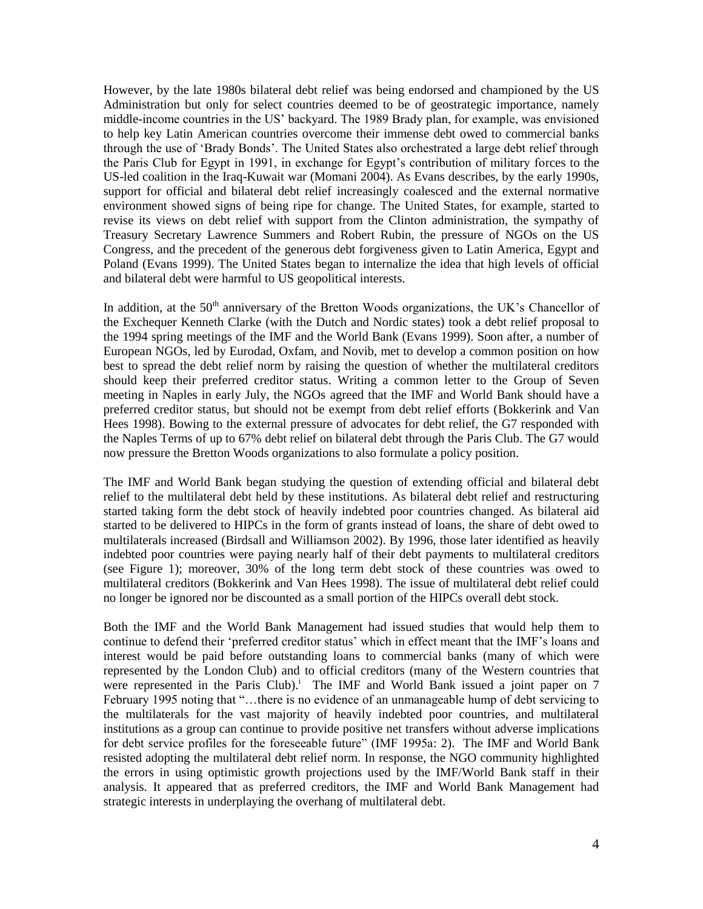However, by the late 1980s bilateral debt relief was being endorsed and championed by the US Administration but only for select countries deemed to be of geostrategic importance, namely middle-income countries in the US' backyard. The 1989 Brady plan, for example, was envisioned to help key Latin American countries overcome their immense debt owed to commercial banks through the use of ‗Brady Bonds'. The United States also orchestrated a large debt relief through the Paris Club for Egypt in 1991, in exchange for Egypt's contribution of military forces to the US-led coalition in the Iraq-Kuwait war (Momani 2004). As Evans describes, by the early 1990s, support for official and bilateral debt relief increasingly coalesced and the external normative environment showed signs of being ripe for change. The United States, for example, started to revise its views on debt relief with support from the Clinton administration, the sympathy of Treasury Secretary Lawrence Summers and Robert Rubin, the pressure of NGOs on the US Congress, and the precedent of the generous debt forgiveness given to Latin America, Egypt and Poland (Evans 1999). The United States began to internalize the idea that high levels of official and bilateral debt were harmful to US geopolitical interests.

In addition, at the  $50<sup>th</sup>$  anniversary of the Bretton Woods organizations, the UK's Chancellor of the Exchequer Kenneth Clarke (with the Dutch and Nordic states) took a debt relief proposal to the 1994 spring meetings of the IMF and the World Bank (Evans 1999). Soon after, a number of European NGOs, led by Eurodad, Oxfam, and Novib, met to develop a common position on how best to spread the debt relief norm by raising the question of whether the multilateral creditors should keep their preferred creditor status. Writing a common letter to the Group of Seven meeting in Naples in early July, the NGOs agreed that the IMF and World Bank should have a preferred creditor status, but should not be exempt from debt relief efforts (Bokkerink and Van Hees 1998). Bowing to the external pressure of advocates for debt relief, the G7 responded with the Naples Terms of up to 67% debt relief on bilateral debt through the Paris Club. The G7 would now pressure the Bretton Woods organizations to also formulate a policy position.

The IMF and World Bank began studying the question of extending official and bilateral debt relief to the multilateral debt held by these institutions. As bilateral debt relief and restructuring started taking form the debt stock of heavily indebted poor countries changed. As bilateral aid started to be delivered to HIPCs in the form of grants instead of loans, the share of debt owed to multilaterals increased (Birdsall and Williamson 2002). By 1996, those later identified as heavily indebted poor countries were paying nearly half of their debt payments to multilateral creditors (see Figure 1); moreover, 30% of the long term debt stock of these countries was owed to multilateral creditors (Bokkerink and Van Hees 1998). The issue of multilateral debt relief could no longer be ignored nor be discounted as a small portion of the HIPCs overall debt stock.

Both the IMF and the World Bank Management had issued studies that would help them to continue to defend their 'preferred creditor status' which in effect meant that the IMF's loans and interest would be paid before outstanding loans to commercial banks (many of which were represented by the London Club) and to official creditors (many of the Western countries that were represented in the Paris Club).<sup>1</sup> The IMF and World Bank issued a joint paper on  $7$ February 1995 noting that "...there is no evidence of an unmanageable hump of debt servicing to the multilaterals for the vast majority of heavily indebted poor countries, and multilateral institutions as a group can continue to provide positive net transfers without adverse implications for debt service profiles for the foreseeable future" (IMF 1995a: 2). The IMF and World Bank resisted adopting the multilateral debt relief norm. In response, the NGO community highlighted the errors in using optimistic growth projections used by the IMF/World Bank staff in their analysis. It appeared that as preferred creditors, the IMF and World Bank Management had strategic interests in underplaying the overhang of multilateral debt.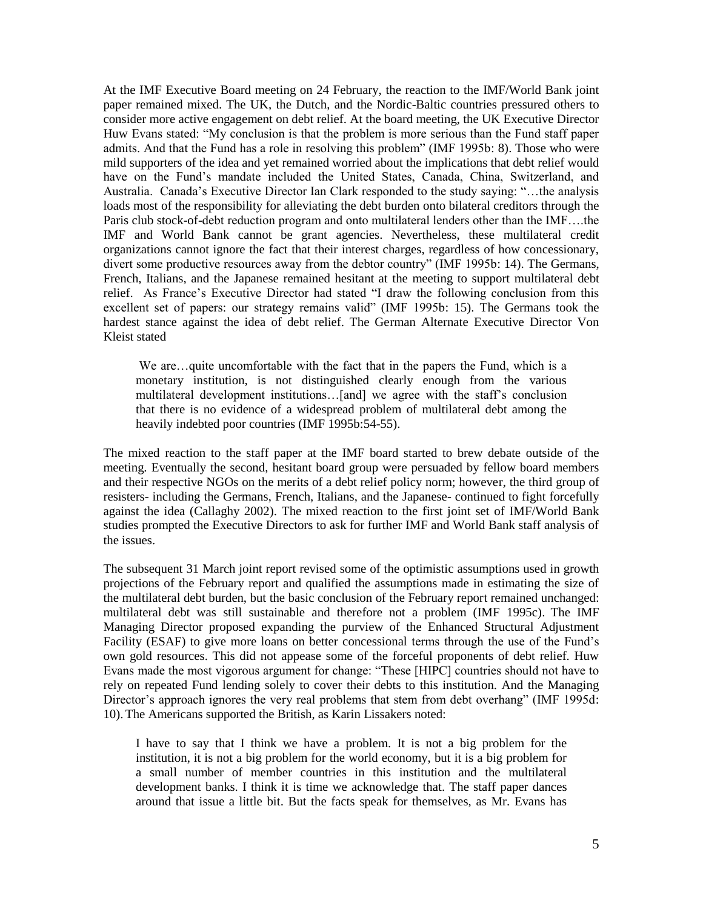At the IMF Executive Board meeting on 24 February, the reaction to the IMF/World Bank joint paper remained mixed. The UK, the Dutch, and the Nordic-Baltic countries pressured others to consider more active engagement on debt relief. At the board meeting, the UK Executive Director Huw Evans stated: "My conclusion is that the problem is more serious than the Fund staff paper admits. And that the Fund has a role in resolving this problem" (IMF 1995b: 8). Those who were mild supporters of the idea and yet remained worried about the implications that debt relief would have on the Fund's mandate included the United States, Canada, China, Switzerland, and Australia. Canada's Executive Director Ian Clark responded to the study saying: "...the analysis loads most of the responsibility for alleviating the debt burden onto bilateral creditors through the Paris club stock-of-debt reduction program and onto multilateral lenders other than the IMF….the IMF and World Bank cannot be grant agencies. Nevertheless, these multilateral credit organizations cannot ignore the fact that their interest charges, regardless of how concessionary, divert some productive resources away from the debtor country" (IMF 1995b: 14). The Germans, French, Italians, and the Japanese remained hesitant at the meeting to support multilateral debt relief. As France's Executive Director had stated "I draw the following conclusion from this excellent set of papers: our strategy remains valid" (IMF 1995b: 15). The Germans took the hardest stance against the idea of debt relief. The German Alternate Executive Director Von Kleist stated

We are...quite uncomfortable with the fact that in the papers the Fund, which is a monetary institution, is not distinguished clearly enough from the various multilateral development institutions…[and] we agree with the staff's conclusion that there is no evidence of a widespread problem of multilateral debt among the heavily indebted poor countries (IMF 1995b:54-55).

The mixed reaction to the staff paper at the IMF board started to brew debate outside of the meeting. Eventually the second, hesitant board group were persuaded by fellow board members and their respective NGOs on the merits of a debt relief policy norm; however, the third group of resisters- including the Germans, French, Italians, and the Japanese- continued to fight forcefully against the idea (Callaghy 2002). The mixed reaction to the first joint set of IMF/World Bank studies prompted the Executive Directors to ask for further IMF and World Bank staff analysis of the issues.

The subsequent 31 March joint report revised some of the optimistic assumptions used in growth projections of the February report and qualified the assumptions made in estimating the size of the multilateral debt burden, but the basic conclusion of the February report remained unchanged: multilateral debt was still sustainable and therefore not a problem (IMF 1995c). The IMF Managing Director proposed expanding the purview of the Enhanced Structural Adjustment Facility (ESAF) to give more loans on better concessional terms through the use of the Fund's own gold resources. This did not appease some of the forceful proponents of debt relief. Huw Evans made the most vigorous argument for change: "These [HIPC] countries should not have to rely on repeated Fund lending solely to cover their debts to this institution. And the Managing Director's approach ignores the very real problems that stem from debt overhang" (IMF 1995d: 10).The Americans supported the British, as Karin Lissakers noted:

I have to say that I think we have a problem. It is not a big problem for the institution, it is not a big problem for the world economy, but it is a big problem for a small number of member countries in this institution and the multilateral development banks. I think it is time we acknowledge that. The staff paper dances around that issue a little bit. But the facts speak for themselves, as Mr. Evans has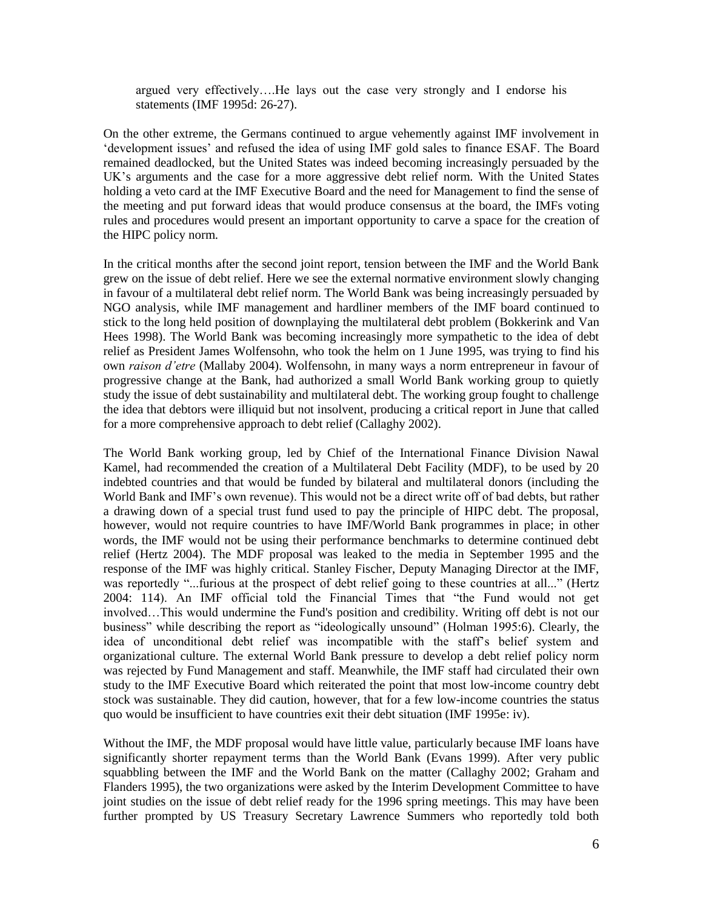argued very effectively….He lays out the case very strongly and I endorse his statements (IMF 1995d: 26-27).

On the other extreme, the Germans continued to argue vehemently against IMF involvement in ‗development issues' and refused the idea of using IMF gold sales to finance ESAF. The Board remained deadlocked, but the United States was indeed becoming increasingly persuaded by the UK's arguments and the case for a more aggressive debt relief norm. With the United States holding a veto card at the IMF Executive Board and the need for Management to find the sense of the meeting and put forward ideas that would produce consensus at the board, the IMFs voting rules and procedures would present an important opportunity to carve a space for the creation of the HIPC policy norm.

In the critical months after the second joint report, tension between the IMF and the World Bank grew on the issue of debt relief. Here we see the external normative environment slowly changing in favour of a multilateral debt relief norm. The World Bank was being increasingly persuaded by NGO analysis, while IMF management and hardliner members of the IMF board continued to stick to the long held position of downplaying the multilateral debt problem (Bokkerink and Van Hees 1998). The World Bank was becoming increasingly more sympathetic to the idea of debt relief as President James Wolfensohn, who took the helm on 1 June 1995, was trying to find his own *raison d'etre* (Mallaby 2004). Wolfensohn, in many ways a norm entrepreneur in favour of progressive change at the Bank, had authorized a small World Bank working group to quietly study the issue of debt sustainability and multilateral debt. The working group fought to challenge the idea that debtors were illiquid but not insolvent, producing a critical report in June that called for a more comprehensive approach to debt relief (Callaghy 2002).

The World Bank working group, led by Chief of the International Finance Division Nawal Kamel, had recommended the creation of a Multilateral Debt Facility (MDF), to be used by 20 indebted countries and that would be funded by bilateral and multilateral donors (including the World Bank and IMF's own revenue). This would not be a direct write off of bad debts, but rather a drawing down of a special trust fund used to pay the principle of HIPC debt. The proposal, however, would not require countries to have IMF/World Bank programmes in place; in other words, the IMF would not be using their performance benchmarks to determine continued debt relief (Hertz 2004). The MDF proposal was leaked to the media in September 1995 and the response of the IMF was highly critical. Stanley Fischer, Deputy Managing Director at the IMF, was reportedly "...furious at the prospect of debt relief going to these countries at all..." (Hertz  $2004: 114$ ). An IMF official told the Financial Times that "the Fund would not get involved…This would undermine the Fund's position and credibility. Writing off debt is not our business" while describing the report as "ideologically unsound" (Holman 1995:6). Clearly, the idea of unconditional debt relief was incompatible with the staff's belief system and organizational culture. The external World Bank pressure to develop a debt relief policy norm was rejected by Fund Management and staff. Meanwhile, the IMF staff had circulated their own study to the IMF Executive Board which reiterated the point that most low-income country debt stock was sustainable. They did caution, however, that for a few low-income countries the status quo would be insufficient to have countries exit their debt situation (IMF 1995e: iv).

Without the IMF, the MDF proposal would have little value, particularly because IMF loans have significantly shorter repayment terms than the World Bank (Evans 1999). After very public squabbling between the IMF and the World Bank on the matter (Callaghy 2002; Graham and Flanders 1995), the two organizations were asked by the Interim Development Committee to have joint studies on the issue of debt relief ready for the 1996 spring meetings. This may have been further prompted by US Treasury Secretary Lawrence Summers who reportedly told both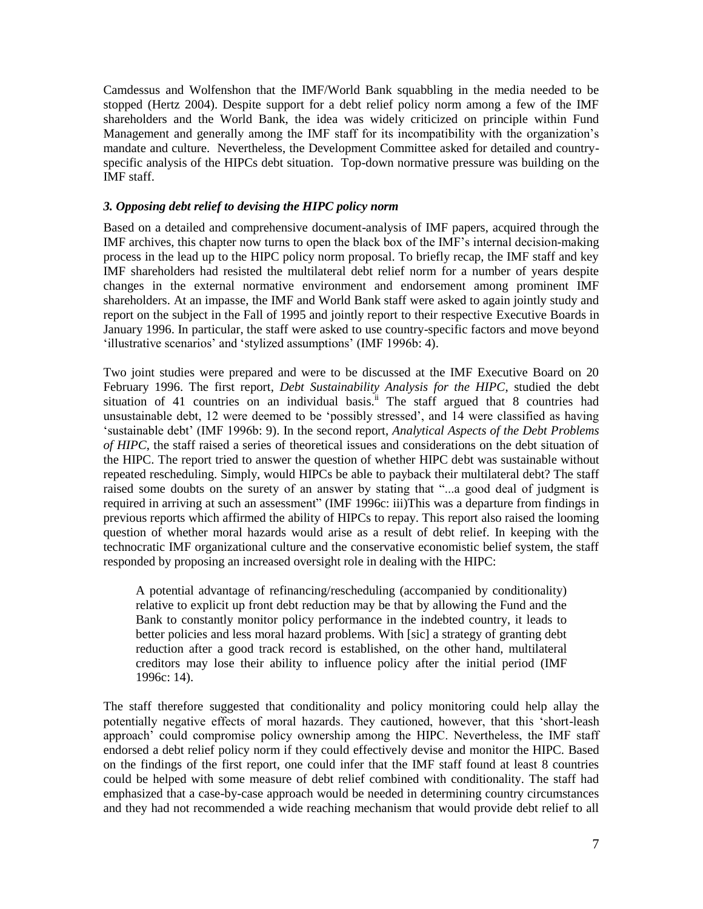Camdessus and Wolfenshon that the IMF/World Bank squabbling in the media needed to be stopped (Hertz 2004). Despite support for a debt relief policy norm among a few of the IMF shareholders and the World Bank, the idea was widely criticized on principle within Fund Management and generally among the IMF staff for its incompatibility with the organization's mandate and culture. Nevertheless, the Development Committee asked for detailed and countryspecific analysis of the HIPCs debt situation. Top-down normative pressure was building on the IMF staff.

#### *3. Opposing debt relief to devising the HIPC policy norm*

Based on a detailed and comprehensive document-analysis of IMF papers, acquired through the IMF archives, this chapter now turns to open the black box of the IMF's internal decision-making process in the lead up to the HIPC policy norm proposal. To briefly recap, the IMF staff and key IMF shareholders had resisted the multilateral debt relief norm for a number of years despite changes in the external normative environment and endorsement among prominent IMF shareholders. At an impasse, the IMF and World Bank staff were asked to again jointly study and report on the subject in the Fall of 1995 and jointly report to their respective Executive Boards in January 1996. In particular, the staff were asked to use country-specific factors and move beyond ‗illustrative scenarios' and ‗stylized assumptions' (IMF 1996b: 4).

Two joint studies were prepared and were to be discussed at the IMF Executive Board on 20 February 1996. The first report, *Debt Sustainability Analysis for the HIPC*, studied the debt situation of 41 countries on an individual basis.<sup>ii</sup> The staff argued that 8 countries had unsustainable debt, 12 were deemed to be 'possibly stressed', and 14 were classified as having ‗sustainable debt' (IMF 1996b: 9). In the second report, *Analytical Aspects of the Debt Problems of HIPC*, the staff raised a series of theoretical issues and considerations on the debt situation of the HIPC. The report tried to answer the question of whether HIPC debt was sustainable without repeated rescheduling. Simply, would HIPCs be able to payback their multilateral debt? The staff raised some doubts on the surety of an answer by stating that "...a good deal of judgment is required in arriving at such an assessment" (IMF 1996c: iii)This was a departure from findings in previous reports which affirmed the ability of HIPCs to repay. This report also raised the looming question of whether moral hazards would arise as a result of debt relief. In keeping with the technocratic IMF organizational culture and the conservative economistic belief system, the staff responded by proposing an increased oversight role in dealing with the HIPC:

A potential advantage of refinancing/rescheduling (accompanied by conditionality) relative to explicit up front debt reduction may be that by allowing the Fund and the Bank to constantly monitor policy performance in the indebted country, it leads to better policies and less moral hazard problems. With [sic] a strategy of granting debt reduction after a good track record is established, on the other hand, multilateral creditors may lose their ability to influence policy after the initial period (IMF 1996c: 14).

The staff therefore suggested that conditionality and policy monitoring could help allay the potentially negative effects of moral hazards. They cautioned, however, that this 'short-leash approach' could compromise policy ownership among the HIPC. Nevertheless, the IMF staff endorsed a debt relief policy norm if they could effectively devise and monitor the HIPC. Based on the findings of the first report, one could infer that the IMF staff found at least 8 countries could be helped with some measure of debt relief combined with conditionality. The staff had emphasized that a case-by-case approach would be needed in determining country circumstances and they had not recommended a wide reaching mechanism that would provide debt relief to all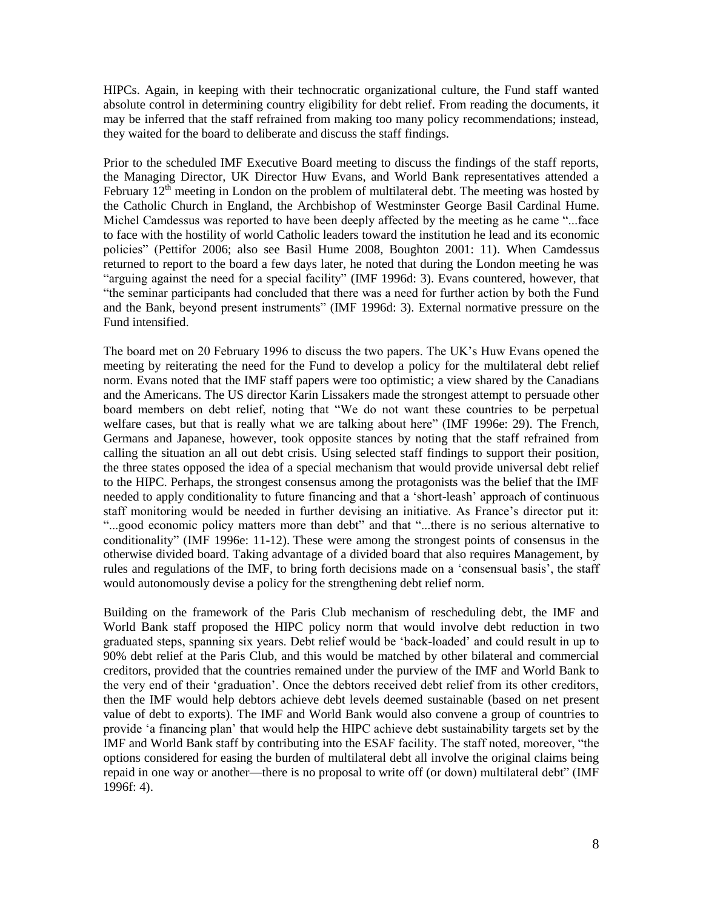HIPCs. Again, in keeping with their technocratic organizational culture, the Fund staff wanted absolute control in determining country eligibility for debt relief. From reading the documents, it may be inferred that the staff refrained from making too many policy recommendations; instead, they waited for the board to deliberate and discuss the staff findings.

Prior to the scheduled IMF Executive Board meeting to discuss the findings of the staff reports, the Managing Director, UK Director Huw Evans, and World Bank representatives attended a February  $12<sup>th</sup>$  meeting in London on the problem of multilateral debt. The meeting was hosted by the Catholic Church in England, the Archbishop of Westminster George Basil Cardinal Hume. Michel Camdessus was reported to have been deeply affected by the meeting as he came "...face" to face with the hostility of world Catholic leaders toward the institution he lead and its economic policies" (Pettifor 2006; also see Basil Hume 2008, Boughton 2001: 11). When Camdessus returned to report to the board a few days later, he noted that during the London meeting he was "arguing against the need for a special facility" (IMF 1996d: 3). Evans countered, however, that ―the seminar participants had concluded that there was a need for further action by both the Fund and the Bank, beyond present instruments" (IMF 1996d: 3). External normative pressure on the Fund intensified.

The board met on 20 February 1996 to discuss the two papers. The UK's Huw Evans opened the meeting by reiterating the need for the Fund to develop a policy for the multilateral debt relief norm. Evans noted that the IMF staff papers were too optimistic; a view shared by the Canadians and the Americans. The US director Karin Lissakers made the strongest attempt to persuade other board members on debt relief, noting that "We do not want these countries to be perpetual welfare cases, but that is really what we are talking about here" (IMF 1996e: 29). The French, Germans and Japanese, however, took opposite stances by noting that the staff refrained from calling the situation an all out debt crisis. Using selected staff findings to support their position, the three states opposed the idea of a special mechanism that would provide universal debt relief to the HIPC. Perhaps, the strongest consensus among the protagonists was the belief that the IMF needed to apply conditionality to future financing and that a 'short-leash' approach of continuous staff monitoring would be needed in further devising an initiative. As France's director put it: "...good economic policy matters more than debt" and that "...there is no serious alternative to conditionality" (IMF 1996e:  $11-12$ ). These were among the strongest points of consensus in the otherwise divided board. Taking advantage of a divided board that also requires Management, by rules and regulations of the IMF, to bring forth decisions made on a 'consensual basis', the staff would autonomously devise a policy for the strengthening debt relief norm.

Building on the framework of the Paris Club mechanism of rescheduling debt, the IMF and World Bank staff proposed the HIPC policy norm that would involve debt reduction in two graduated steps, spanning six years. Debt relief would be 'back-loaded' and could result in up to 90% debt relief at the Paris Club, and this would be matched by other bilateral and commercial creditors, provided that the countries remained under the purview of the IMF and World Bank to the very end of their ‗graduation'. Once the debtors received debt relief from its other creditors, then the IMF would help debtors achieve debt levels deemed sustainable (based on net present value of debt to exports). The IMF and World Bank would also convene a group of countries to provide ‗a financing plan' that would help the HIPC achieve debt sustainability targets set by the IMF and World Bank staff by contributing into the ESAF facility. The staff noted, moreover, "the options considered for easing the burden of multilateral debt all involve the original claims being repaid in one way or another—there is no proposal to write off (or down) multilateral debt" (IMF 1996f: 4).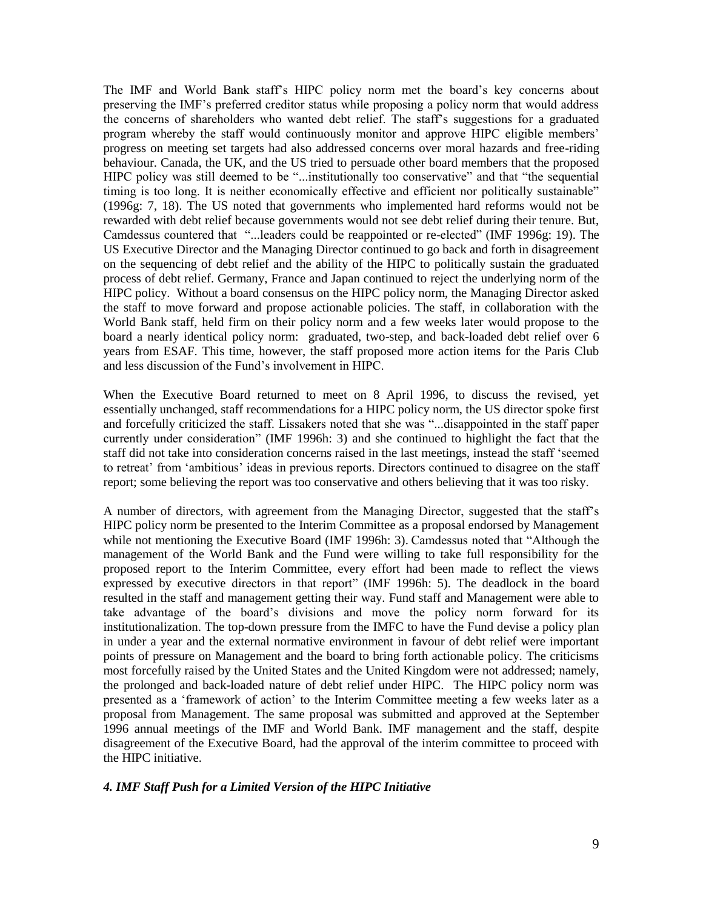The IMF and World Bank staff's HIPC policy norm met the board's key concerns about preserving the IMF's preferred creditor status while proposing a policy norm that would address the concerns of shareholders who wanted debt relief. The staff's suggestions for a graduated program whereby the staff would continuously monitor and approve HIPC eligible members' progress on meeting set targets had also addressed concerns over moral hazards and free-riding behaviour. Canada, the UK, and the US tried to persuade other board members that the proposed HIPC policy was still deemed to be "...institutionally too conservative" and that "the sequential timing is too long. It is neither economically effective and efficient nor politically sustainable" (1996g: 7, 18). The US noted that governments who implemented hard reforms would not be rewarded with debt relief because governments would not see debt relief during their tenure. But, Camdessus countered that "...leaders could be reappointed or re-elected" (IMF 1996g: 19). The US Executive Director and the Managing Director continued to go back and forth in disagreement on the sequencing of debt relief and the ability of the HIPC to politically sustain the graduated process of debt relief. Germany, France and Japan continued to reject the underlying norm of the HIPC policy. Without a board consensus on the HIPC policy norm, the Managing Director asked the staff to move forward and propose actionable policies. The staff, in collaboration with the World Bank staff, held firm on their policy norm and a few weeks later would propose to the board a nearly identical policy norm: graduated, two-step, and back-loaded debt relief over 6 years from ESAF. This time, however, the staff proposed more action items for the Paris Club and less discussion of the Fund's involvement in HIPC.

When the Executive Board returned to meet on 8 April 1996, to discuss the revised, yet essentially unchanged, staff recommendations for a HIPC policy norm, the US director spoke first and forcefully criticized the staff. Lissakers noted that she was "...disappointed in the staff paper currently under consideration" (IMF 1996h: 3) and she continued to highlight the fact that the staff did not take into consideration concerns raised in the last meetings, instead the staff ‗seemed to retreat' from 'ambitious' ideas in previous reports. Directors continued to disagree on the staff report; some believing the report was too conservative and others believing that it was too risky.

A number of directors, with agreement from the Managing Director, suggested that the staff's HIPC policy norm be presented to the Interim Committee as a proposal endorsed by Management while not mentioning the Executive Board (IMF 1996h: 3). Camdessus noted that "Although the management of the World Bank and the Fund were willing to take full responsibility for the proposed report to the Interim Committee, every effort had been made to reflect the views expressed by executive directors in that report" (IMF 1996h: 5). The deadlock in the board resulted in the staff and management getting their way. Fund staff and Management were able to take advantage of the board's divisions and move the policy norm forward for its institutionalization. The top-down pressure from the IMFC to have the Fund devise a policy plan in under a year and the external normative environment in favour of debt relief were important points of pressure on Management and the board to bring forth actionable policy. The criticisms most forcefully raised by the United States and the United Kingdom were not addressed; namely, the prolonged and back-loaded nature of debt relief under HIPC. The HIPC policy norm was presented as a ‗framework of action' to the Interim Committee meeting a few weeks later as a proposal from Management. The same proposal was submitted and approved at the September 1996 annual meetings of the IMF and World Bank. IMF management and the staff, despite disagreement of the Executive Board, had the approval of the interim committee to proceed with the HIPC initiative.

#### *4. IMF Staff Push for a Limited Version of the HIPC Initiative*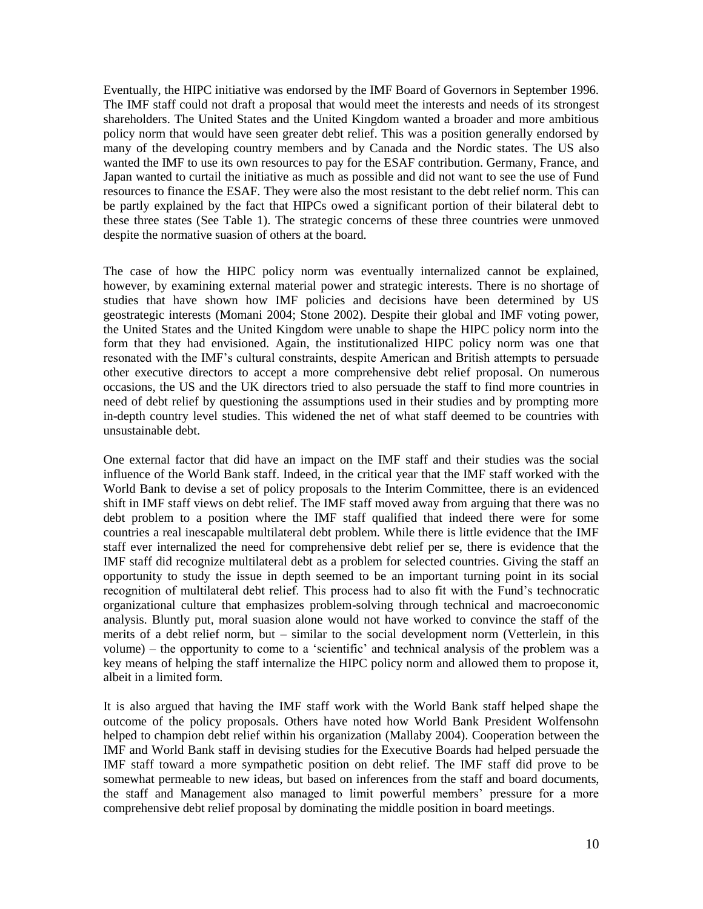Eventually, the HIPC initiative was endorsed by the IMF Board of Governors in September 1996. The IMF staff could not draft a proposal that would meet the interests and needs of its strongest shareholders. The United States and the United Kingdom wanted a broader and more ambitious policy norm that would have seen greater debt relief. This was a position generally endorsed by many of the developing country members and by Canada and the Nordic states. The US also wanted the IMF to use its own resources to pay for the ESAF contribution. Germany, France, and Japan wanted to curtail the initiative as much as possible and did not want to see the use of Fund resources to finance the ESAF. They were also the most resistant to the debt relief norm. This can be partly explained by the fact that HIPCs owed a significant portion of their bilateral debt to these three states (See Table 1). The strategic concerns of these three countries were unmoved despite the normative suasion of others at the board.

The case of how the HIPC policy norm was eventually internalized cannot be explained, however, by examining external material power and strategic interests. There is no shortage of studies that have shown how IMF policies and decisions have been determined by US geostrategic interests (Momani 2004; Stone 2002). Despite their global and IMF voting power, the United States and the United Kingdom were unable to shape the HIPC policy norm into the form that they had envisioned. Again, the institutionalized HIPC policy norm was one that resonated with the IMF's cultural constraints, despite American and British attempts to persuade other executive directors to accept a more comprehensive debt relief proposal. On numerous occasions, the US and the UK directors tried to also persuade the staff to find more countries in need of debt relief by questioning the assumptions used in their studies and by prompting more in-depth country level studies. This widened the net of what staff deemed to be countries with unsustainable debt.

One external factor that did have an impact on the IMF staff and their studies was the social influence of the World Bank staff. Indeed, in the critical year that the IMF staff worked with the World Bank to devise a set of policy proposals to the Interim Committee, there is an evidenced shift in IMF staff views on debt relief. The IMF staff moved away from arguing that there was no debt problem to a position where the IMF staff qualified that indeed there were for some countries a real inescapable multilateral debt problem. While there is little evidence that the IMF staff ever internalized the need for comprehensive debt relief per se, there is evidence that the IMF staff did recognize multilateral debt as a problem for selected countries. Giving the staff an opportunity to study the issue in depth seemed to be an important turning point in its social recognition of multilateral debt relief. This process had to also fit with the Fund's technocratic organizational culture that emphasizes problem-solving through technical and macroeconomic analysis. Bluntly put, moral suasion alone would not have worked to convince the staff of the merits of a debt relief norm, but – similar to the social development norm (Vetterlein, in this volume) – the opportunity to come to a 'scientific' and technical analysis of the problem was a key means of helping the staff internalize the HIPC policy norm and allowed them to propose it, albeit in a limited form.

It is also argued that having the IMF staff work with the World Bank staff helped shape the outcome of the policy proposals. Others have noted how World Bank President Wolfensohn helped to champion debt relief within his organization (Mallaby 2004). Cooperation between the IMF and World Bank staff in devising studies for the Executive Boards had helped persuade the IMF staff toward a more sympathetic position on debt relief. The IMF staff did prove to be somewhat permeable to new ideas, but based on inferences from the staff and board documents, the staff and Management also managed to limit powerful members' pressure for a more comprehensive debt relief proposal by dominating the middle position in board meetings.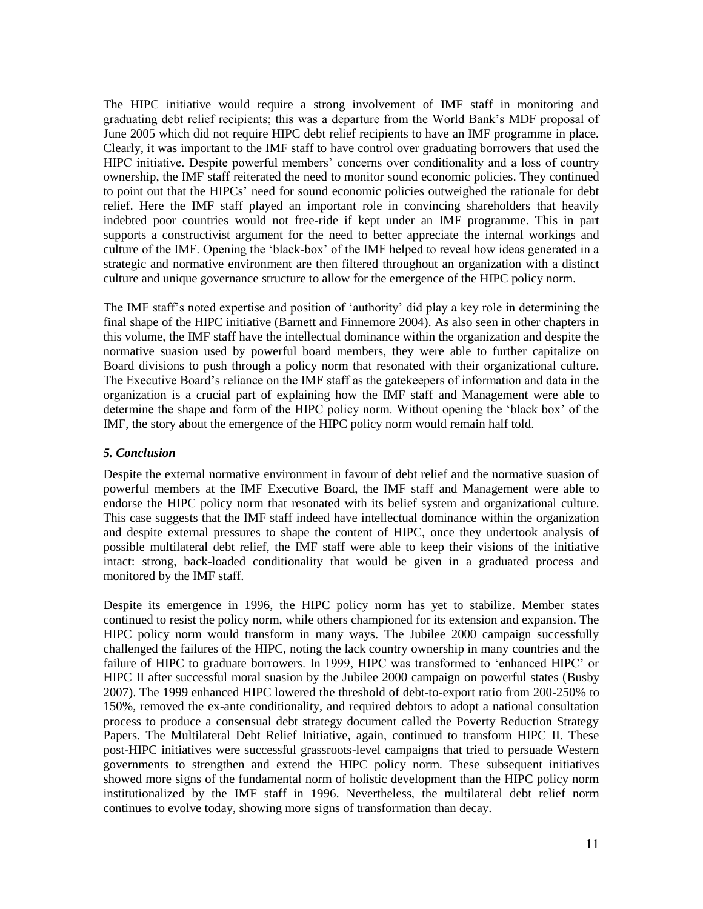The HIPC initiative would require a strong involvement of IMF staff in monitoring and graduating debt relief recipients; this was a departure from the World Bank's MDF proposal of June 2005 which did not require HIPC debt relief recipients to have an IMF programme in place. Clearly, it was important to the IMF staff to have control over graduating borrowers that used the HIPC initiative. Despite powerful members' concerns over conditionality and a loss of country ownership, the IMF staff reiterated the need to monitor sound economic policies. They continued to point out that the HIPCs' need for sound economic policies outweighed the rationale for debt relief. Here the IMF staff played an important role in convincing shareholders that heavily indebted poor countries would not free-ride if kept under an IMF programme. This in part supports a constructivist argument for the need to better appreciate the internal workings and culture of the IMF. Opening the 'black-box' of the IMF helped to reveal how ideas generated in a strategic and normative environment are then filtered throughout an organization with a distinct culture and unique governance structure to allow for the emergence of the HIPC policy norm.

The IMF staff's noted expertise and position of 'authority' did play a key role in determining the final shape of the HIPC initiative (Barnett and Finnemore 2004). As also seen in other chapters in this volume, the IMF staff have the intellectual dominance within the organization and despite the normative suasion used by powerful board members, they were able to further capitalize on Board divisions to push through a policy norm that resonated with their organizational culture. The Executive Board's reliance on the IMF staff as the gatekeepers of information and data in the organization is a crucial part of explaining how the IMF staff and Management were able to determine the shape and form of the HIPC policy norm. Without opening the 'black box' of the IMF, the story about the emergence of the HIPC policy norm would remain half told.

#### *5. Conclusion*

Despite the external normative environment in favour of debt relief and the normative suasion of powerful members at the IMF Executive Board, the IMF staff and Management were able to endorse the HIPC policy norm that resonated with its belief system and organizational culture. This case suggests that the IMF staff indeed have intellectual dominance within the organization and despite external pressures to shape the content of HIPC, once they undertook analysis of possible multilateral debt relief, the IMF staff were able to keep their visions of the initiative intact: strong, back-loaded conditionality that would be given in a graduated process and monitored by the IMF staff.

Despite its emergence in 1996, the HIPC policy norm has yet to stabilize. Member states continued to resist the policy norm, while others championed for its extension and expansion. The HIPC policy norm would transform in many ways. The Jubilee 2000 campaign successfully challenged the failures of the HIPC, noting the lack country ownership in many countries and the failure of HIPC to graduate borrowers. In 1999, HIPC was transformed to 'enhanced HIPC' or HIPC II after successful moral suasion by the Jubilee 2000 campaign on powerful states (Busby 2007). The 1999 enhanced HIPC lowered the threshold of debt-to-export ratio from 200-250% to 150%, removed the ex-ante conditionality, and required debtors to adopt a national consultation process to produce a consensual debt strategy document called the Poverty Reduction Strategy Papers. The Multilateral Debt Relief Initiative, again, continued to transform HIPC II. These post-HIPC initiatives were successful grassroots-level campaigns that tried to persuade Western governments to strengthen and extend the HIPC policy norm. These subsequent initiatives showed more signs of the fundamental norm of holistic development than the HIPC policy norm institutionalized by the IMF staff in 1996. Nevertheless, the multilateral debt relief norm continues to evolve today, showing more signs of transformation than decay.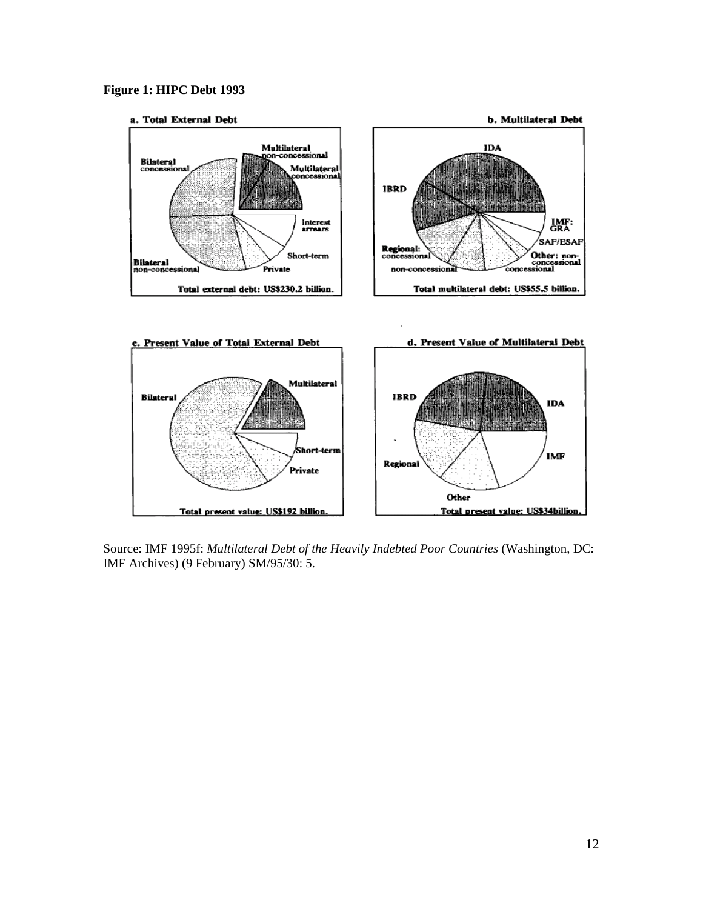### **Figure 1: HIPC Debt 1993**



b. Multilateral Debt





Source: IMF 1995f: *Multilateral Debt of the Heavily Indebted Poor Countries* (Washington, DC: IMF Archives) (9 February) SM/95/30: 5.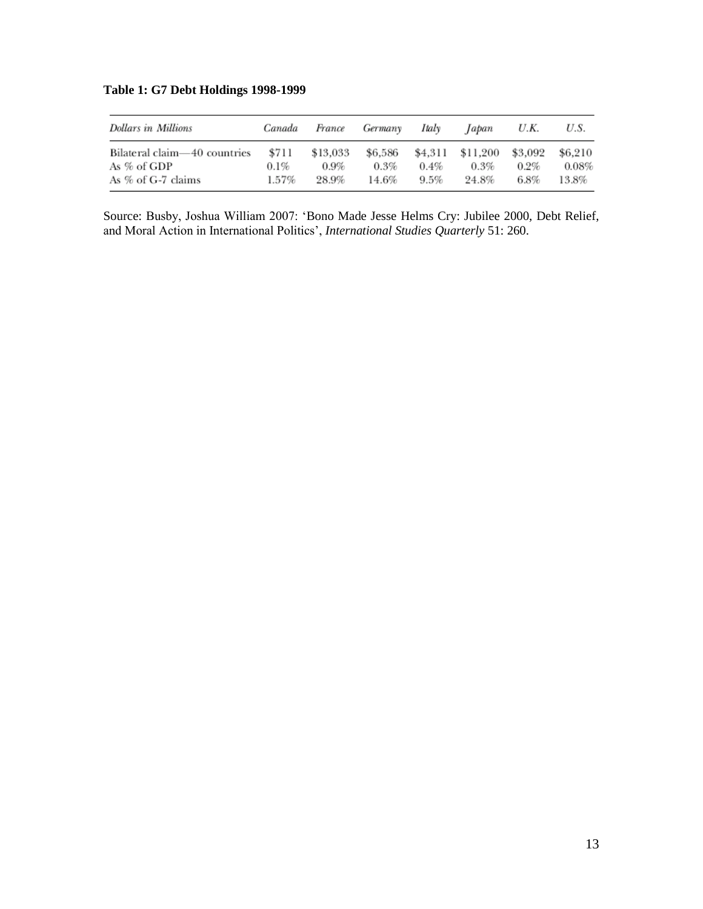|  |  |  | <b>Table 1: G7 Debt Holdings 1998-1999</b> |  |  |
|--|--|--|--------------------------------------------|--|--|
|--|--|--|--------------------------------------------|--|--|

| <b>Dollars in Millions</b>                  | Canada           | France              | Germany            | Italy   | Japan                       | U.K.               | U.S.             |
|---------------------------------------------|------------------|---------------------|--------------------|---------|-----------------------------|--------------------|------------------|
| Bilateral claim—40 countries<br>As % of GDP | \$711<br>$0.1\%$ | \$13,033<br>$0.9\%$ | \$6.586<br>$0.3\%$ | $0.4\%$ | \$4,311 \$11,200<br>$0.3\%$ | \$3.092<br>$0.2\%$ | \$6.210<br>0.08% |
| As % of G-7 claims                          | 1.57%            | 28.9%               | 14.6%              | $9.5\%$ | 24.8%                       | 6.8%               | 13.8%            |

Source: Busby, Joshua William 2007: 'Bono Made Jesse Helms Cry: Jubilee 2000, Debt Relief, and Moral Action in International Politics', *International Studies Quarterly* 51: 260.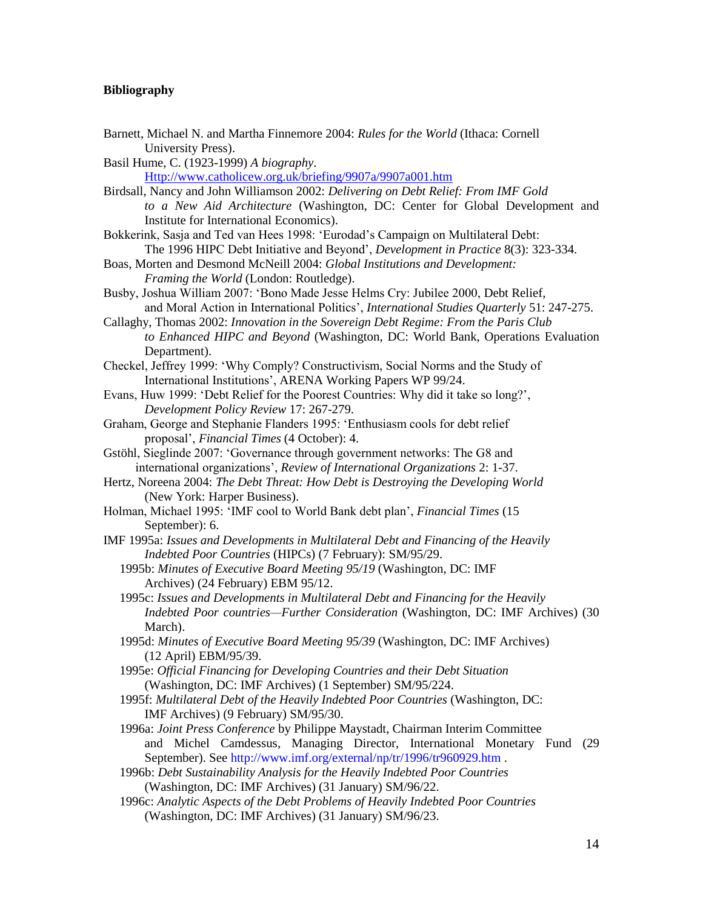## **Bibliography**

| Barnett, Michael N. and Martha Finnemore 2004: Rules for the World (Ithaca: Cornell<br>University Press).                                                              |
|------------------------------------------------------------------------------------------------------------------------------------------------------------------------|
| Basil Hume, C. (1923-1999) A biography.                                                                                                                                |
| Http://www.catholicew.org.uk/briefing/9907a/9907a001.htm                                                                                                               |
| Birdsall, Nancy and John Williamson 2002: Delivering on Debt Relief: From IMF Gold                                                                                     |
| to a New Aid Architecture (Washington, DC: Center for Global Development and<br>Institute for International Economics).                                                |
| Bokkerink, Sasja and Ted van Hees 1998: 'Eurodad's Campaign on Multilateral Debt:<br>The 1996 HIPC Debt Initiative and Beyond', Development in Practice 8(3): 323-334. |
| Boas, Morten and Desmond McNeill 2004: Global Institutions and Development:                                                                                            |
| Framing the World (London: Routledge).                                                                                                                                 |
| Busby, Joshua William 2007: 'Bono Made Jesse Helms Cry: Jubilee 2000, Debt Relief,                                                                                     |
| and Moral Action in International Politics', International Studies Quarterly 51: 247-275.                                                                              |
| Callaghy, Thomas 2002: Innovation in the Sovereign Debt Regime: From the Paris Club                                                                                    |
| to Enhanced HIPC and Beyond (Washington, DC: World Bank, Operations Evaluation                                                                                         |
| Department).                                                                                                                                                           |
| Checkel, Jeffrey 1999: 'Why Comply? Constructivism, Social Norms and the Study of<br>International Institutions', ARENA Working Papers WP 99/24.                       |
| Evans, Huw 1999: 'Debt Relief for the Poorest Countries: Why did it take so long?',                                                                                    |
| Development Policy Review 17: 267-279.                                                                                                                                 |
| Graham, George and Stephanie Flanders 1995: 'Enthusiasm cools for debt relief                                                                                          |
| proposal', Financial Times (4 October): 4.                                                                                                                             |
| Gstöhl, Sieglinde 2007: 'Governance through government networks: The G8 and                                                                                            |
| international organizations', Review of International Organizations 2: 1-37.                                                                                           |
| Hertz, Noreena 2004: The Debt Threat: How Debt is Destroying the Developing World                                                                                      |
| (New York: Harper Business).                                                                                                                                           |
| Holman, Michael 1995: 'IMF cool to World Bank debt plan', Financial Times (15<br>September): 6.                                                                        |
| IMF 1995a: Issues and Developments in Multilateral Debt and Financing of the Heavily                                                                                   |
| Indebted Poor Countries (HIPCs) (7 February): SM/95/29.                                                                                                                |
| 1995b: Minutes of Executive Board Meeting 95/19 (Washington, DC: IMF                                                                                                   |
| Archives) (24 February) EBM 95/12.                                                                                                                                     |
| 1995c: Issues and Developments in Multilateral Debt and Financing for the Heavily                                                                                      |
| Indebted Poor countries-Further Consideration (Washington, DC: IMF Archives) (30<br>March).                                                                            |
| 1995d: Minutes of Executive Board Meeting 95/39 (Washington, DC: IMF Archives)                                                                                         |
| (12 April) EBM/95/39.                                                                                                                                                  |
| 1995e: Official Financing for Developing Countries and their Debt Situation                                                                                            |
| (Washington, DC: IMF Archives) (1 September) SM/95/224.                                                                                                                |
| 1995f: Multilateral Debt of the Heavily Indebted Poor Countries (Washington, DC:                                                                                       |
| IMF Archives) (9 February) SM/95/30.                                                                                                                                   |
| 1996a: Joint Press Conference by Philippe Maystadt, Chairman Interim Committee                                                                                         |
| and Michel Camdessus, Managing Director, International Monetary Fund (29)                                                                                              |
| September). See http://www.imf.org/external/np/tr/1996/tr960929.htm.                                                                                                   |
| 1996b: Debt Sustainability Analysis for the Heavily Indebted Poor Countries                                                                                            |
| (Washington, DC: IMF Archives) (31 January) SM/96/22.                                                                                                                  |
| 1996c: Analytic Aspects of the Debt Problems of Heavily Indebted Poor Countries                                                                                        |
| (Washington, DC: IMF Archives) (31 January) SM/96/23.                                                                                                                  |
|                                                                                                                                                                        |